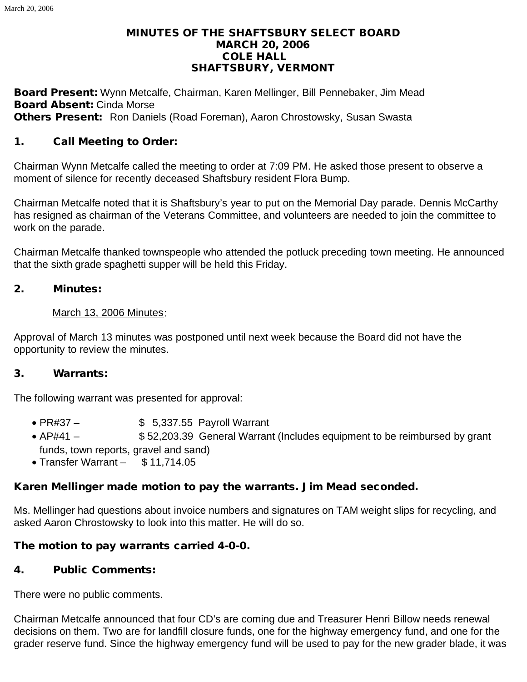### MINUTES OF THE SHAFTSBURY SELECT BOARD MARCH 20, 2006 COLE HALL SHAFTSBURY, VERMONT

Board Present: Wynn Metcalfe, Chairman, Karen Mellinger, Bill Pennebaker, Jim Mead Board Absent: Cinda Morse Others Present: Ron Daniels (Road Foreman), Aaron Chrostowsky, Susan Swasta

## 1. Call Meeting to Order:

Chairman Wynn Metcalfe called the meeting to order at 7:09 PM. He asked those present to observe a moment of silence for recently deceased Shaftsbury resident Flora Bump.

Chairman Metcalfe noted that it is Shaftsbury's year to put on the Memorial Day parade. Dennis McCarthy has resigned as chairman of the Veterans Committee, and volunteers are needed to join the committee to work on the parade.

Chairman Metcalfe thanked townspeople who attended the potluck preceding town meeting. He announced that the sixth grade spaghetti supper will be held this Friday.

#### 2. Minutes:

#### March 13, 2006 Minutes:

Approval of March 13 minutes was postponed until next week because the Board did not have the opportunity to review the minutes.

### 3. Warrants:

The following warrant was presented for approval:

- $\bullet$  PR#37  $\bullet$  \$ 5,337.55 Payroll Warrant
- AP#41  $$52,203.39$  General Warrant (Includes equipment to be reimbursed by grant funds, town reports, gravel and sand)
- · Transfer Warrant \$ 11,714.05

## Karen Mellinger made motion to pay the warrants. Jim Mead seconded.

Ms. Mellinger had questions about invoice numbers and signatures on TAM weight slips for recycling, and asked Aaron Chrostowsky to look into this matter. He will do so.

### The motion to pay warrants carried 4-0-0.

### 4. Public Comments:

There were no public comments.

Chairman Metcalfe announced that four CD's are coming due and Treasurer Henri Billow needs renewal decisions on them. Two are for landfill closure funds, one for the highway emergency fund, and one for the grader reserve fund. Since the highway emergency fund will be used to pay for the new grader blade, it was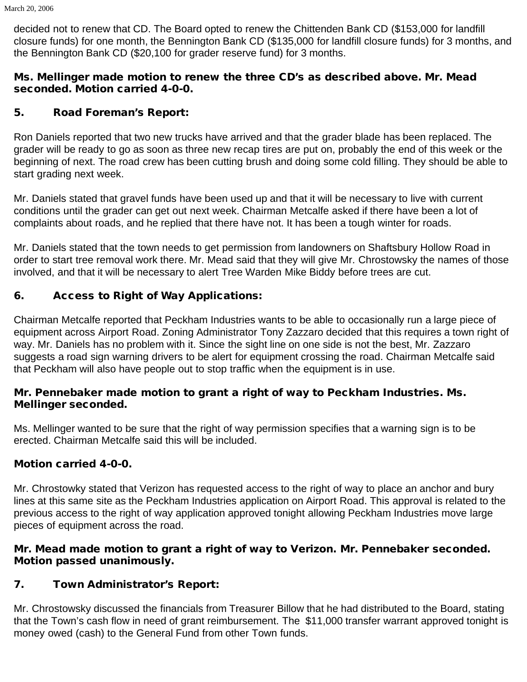decided not to renew that CD. The Board opted to renew the Chittenden Bank CD (\$153,000 for landfill closure funds) for one month, the Bennington Bank CD (\$135,000 for landfill closure funds) for 3 months, and the Bennington Bank CD (\$20,100 for grader reserve fund) for 3 months.

### Ms. Mellinger made motion to renew the three CD's as described above. Mr. Mead seconded. Motion carried 4-0-0.

## 5. Road Foreman's Report:

Ron Daniels reported that two new trucks have arrived and that the grader blade has been replaced. The grader will be ready to go as soon as three new recap tires are put on, probably the end of this week or the beginning of next. The road crew has been cutting brush and doing some cold filling. They should be able to start grading next week.

Mr. Daniels stated that gravel funds have been used up and that it will be necessary to live with current conditions until the grader can get out next week. Chairman Metcalfe asked if there have been a lot of complaints about roads, and he replied that there have not. It has been a tough winter for roads.

Mr. Daniels stated that the town needs to get permission from landowners on Shaftsbury Hollow Road in order to start tree removal work there. Mr. Mead said that they will give Mr. Chrostowsky the names of those involved, and that it will be necessary to alert Tree Warden Mike Biddy before trees are cut.

# 6. Access to Right of Way Applications:

Chairman Metcalfe reported that Peckham Industries wants to be able to occasionally run a large piece of equipment across Airport Road. Zoning Administrator Tony Zazzaro decided that this requires a town right of way. Mr. Daniels has no problem with it. Since the sight line on one side is not the best, Mr. Zazzaro suggests a road sign warning drivers to be alert for equipment crossing the road. Chairman Metcalfe said that Peckham will also have people out to stop traffic when the equipment is in use.

## Mr. Pennebaker made motion to grant a right of way to Peckham Industries. Ms. Mellinger seconded.

Ms. Mellinger wanted to be sure that the right of way permission specifies that a warning sign is to be erected. Chairman Metcalfe said this will be included.

# Motion carried 4-0-0.

Mr. Chrostowky stated that Verizon has requested access to the right of way to place an anchor and bury lines at this same site as the Peckham Industries application on Airport Road. This approval is related to the previous access to the right of way application approved tonight allowing Peckham Industries move large pieces of equipment across the road.

## Mr. Mead made motion to grant a right of way to Verizon. Mr. Pennebaker seconded. Motion passed unanimously.

# 7. Town Administrator's Report:

Mr. Chrostowsky discussed the financials from Treasurer Billow that he had distributed to the Board, stating that the Town's cash flow in need of grant reimbursement. The \$11,000 transfer warrant approved tonight is money owed (cash) to the General Fund from other Town funds.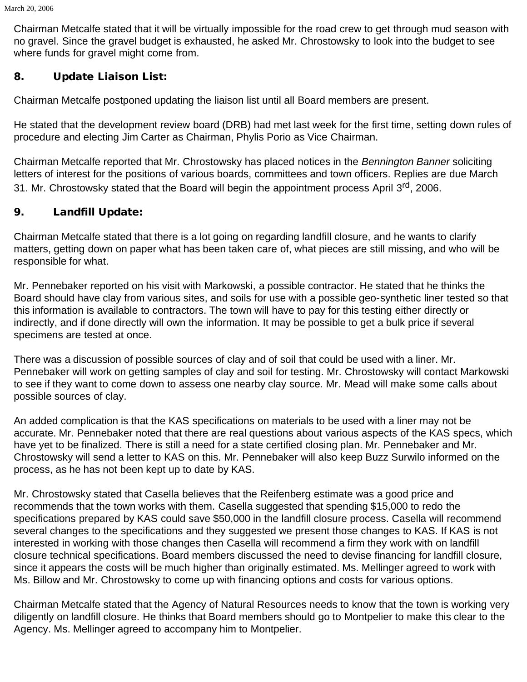Chairman Metcalfe stated that it will be virtually impossible for the road crew to get through mud season with no gravel. Since the gravel budget is exhausted, he asked Mr. Chrostowsky to look into the budget to see where funds for gravel might come from.

## 8. Update Liaison List:

Chairman Metcalfe postponed updating the liaison list until all Board members are present.

He stated that the development review board (DRB) had met last week for the first time, setting down rules of procedure and electing Jim Carter as Chairman, Phylis Porio as Vice Chairman.

Chairman Metcalfe reported that Mr. Chrostowsky has placed notices in the *Bennington Banner* soliciting letters of interest for the positions of various boards, committees and town officers. Replies are due March 31. Mr. Chrostowsky stated that the Board will begin the appointment process April 3<sup>rd</sup>, 2006.

## 9. Landfill Update:

Chairman Metcalfe stated that there is a lot going on regarding landfill closure, and he wants to clarify matters, getting down on paper what has been taken care of, what pieces are still missing, and who will be responsible for what.

Mr. Pennebaker reported on his visit with Markowski, a possible contractor. He stated that he thinks the Board should have clay from various sites, and soils for use with a possible geo-synthetic liner tested so that this information is available to contractors. The town will have to pay for this testing either directly or indirectly, and if done directly will own the information. It may be possible to get a bulk price if several specimens are tested at once.

There was a discussion of possible sources of clay and of soil that could be used with a liner. Mr. Pennebaker will work on getting samples of clay and soil for testing. Mr. Chrostowsky will contact Markowski to see if they want to come down to assess one nearby clay source. Mr. Mead will make some calls about possible sources of clay.

An added complication is that the KAS specifications on materials to be used with a liner may not be accurate. Mr. Pennebaker noted that there are real questions about various aspects of the KAS specs, which have yet to be finalized. There is still a need for a state certified closing plan. Mr. Pennebaker and Mr. Chrostowsky will send a letter to KAS on this. Mr. Pennebaker will also keep Buzz Surwilo informed on the process, as he has not been kept up to date by KAS.

Mr. Chrostowsky stated that Casella believes that the Reifenberg estimate was a good price and recommends that the town works with them. Casella suggested that spending \$15,000 to redo the specifications prepared by KAS could save \$50,000 in the landfill closure process. Casella will recommend several changes to the specifications and they suggested we present those changes to KAS. If KAS is not interested in working with those changes then Casella will recommend a firm they work with on landfill closure technical specifications. Board members discussed the need to devise financing for landfill closure, since it appears the costs will be much higher than originally estimated. Ms. Mellinger agreed to work with Ms. Billow and Mr. Chrostowsky to come up with financing options and costs for various options.

Chairman Metcalfe stated that the Agency of Natural Resources needs to know that the town is working very diligently on landfill closure. He thinks that Board members should go to Montpelier to make this clear to the Agency. Ms. Mellinger agreed to accompany him to Montpelier.